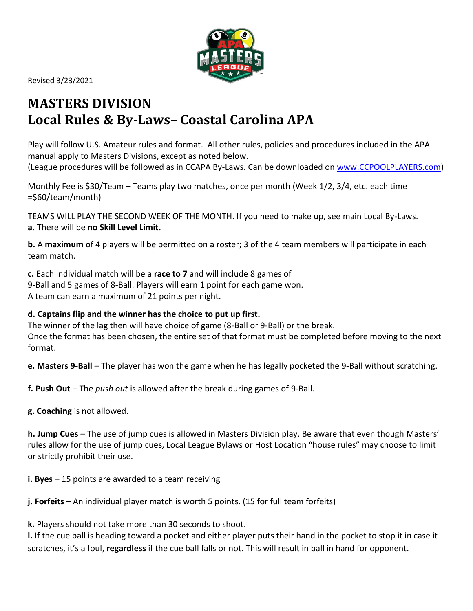Revised 3/23/2021



## **MASTERS DIVISION Local Rules & By-Laws– Coastal Carolina APA**

Play will follow U.S. Amateur rules and format. All other rules, policies and procedures included in the APA manual apply to Masters Divisions, except as noted below.

(League procedures will be followed as in CCAPA By-Laws. Can be downloaded on [www.CCPOOLPLAYERS.com\)](http://www.ccpoolplayers.com/)

Monthly Fee is \$30/Team – Teams play two matches, once per month (Week 1/2, 3/4, etc. each time =\$60/team/month)

TEAMS WILL PLAY THE SECOND WEEK OF THE MONTH. If you need to make up, see main Local By-Laws. **a.** There will be **no Skill Level Limit.**

**b.** A **maximum** of 4 players will be permitted on a roster; 3 of the 4 team members will participate in each team match.

**c.** Each individual match will be a **race to 7** and will include 8 games of 9-Ball and 5 games of 8-Ball. Players will earn 1 point for each game won. A team can earn a maximum of 21 points per night.

## **d. Captains flip and the winner has the choice to put up first.**

The winner of the lag then will have choice of game (8-Ball or 9-Ball) or the break. Once the format has been chosen, the entire set of that format must be completed before moving to the next format.

**e. Masters 9-Ball** – The player has won the game when he has legally pocketed the 9-Ball without scratching.

**f. Push Out** – The *push out* is allowed after the break during games of 9-Ball.

**g. Coaching** is not allowed.

**h. Jump Cues** – The use of jump cues is allowed in Masters Division play. Be aware that even though Masters' rules allow for the use of jump cues, Local League Bylaws or Host Location "house rules" may choose to limit or strictly prohibit their use.

**i. Byes** – 15 points are awarded to a team receiving

**j. Forfeits** – An individual player match is worth 5 points. (15 for full team forfeits)

**k.** Players should not take more than 30 seconds to shoot.

**l.** If the cue ball is heading toward a pocket and either player puts their hand in the pocket to stop it in case it scratches, it's a foul, **regardless** if the cue ball falls or not. This will result in ball in hand for opponent.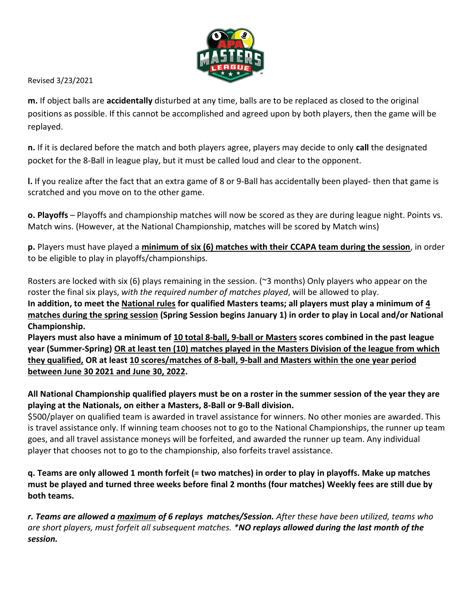

Revised 3/23/2021

**m.** If object balls are **accidentally** disturbed at any time, balls are to be replaced as closed to the original positions as possible. If this cannot be accomplished and agreed upon by both players, then the game will be replayed.

**n.** If it is declared before the match and both players agree, players may decide to only **call** the designated pocket for the 8-Ball in league play, but it must be called loud and clear to the opponent.

**l.** If you realize after the fact that an extra game of 8 or 9-Ball has accidentally been played- then that game is scratched and you move on to the other game.

**o. Playoffs** – Playoffs and championship matches will now be scored as they are during league night. Points vs. Match wins. (However, at the National Championship, matches will be scored by Match wins)

**p.** Players must have played a **minimum of six (6) matches with their CCAPA team during the session**, in order to be eligible to play in playoffs/championships.

Rosters are locked with six (6) plays remaining in the session. (~3 months) Only players who appear on the roster the final six plays, *with the required number of matches played*, will be allowed to play. **In addition, to meet the National rules for qualified Masters teams; all players must play a minimum of 4 matches during the spring session (Spring Session begins January 1) in order to play in Local and/or National Championship.**

**Players must also have a minimum of 10 total 8-ball, 9-ball or Masters scores combined in the past league year (Summer-Spring) OR at least ten (10) matches played in the Masters Division of the league from which they qualified, OR at least 10 scores/matches of 8-ball, 9-ball and Masters within the one year period between June 30 2021 and June 30, 2022.**

## **All National Championship qualified players must be on a roster in the summer session of the year they are playing at the Nationals, on either a Masters, 8-Ball or 9-Ball division.**

\$500/player on qualified team is awarded in travel assistance for winners. No other monies are awarded. This is travel assistance only. If winning team chooses not to go to the National Championships, the runner up team goes, and all travel assistance moneys will be forfeited, and awarded the runner up team. Any individual player that chooses not to go to the championship, also forfeits travel assistance.

**q. Teams are only allowed 1 month forfeit (= two matches) in order to play in playoffs. Make up matches must be played and turned three weeks before final 2 months (four matches) Weekly fees are still due by both teams.**

*r. Teams are allowed a maximum of 6 replays matches/Session. After these have been utilized, teams who are short players, must forfeit all subsequent matches. \*NO replays allowed during the last month of the session.*